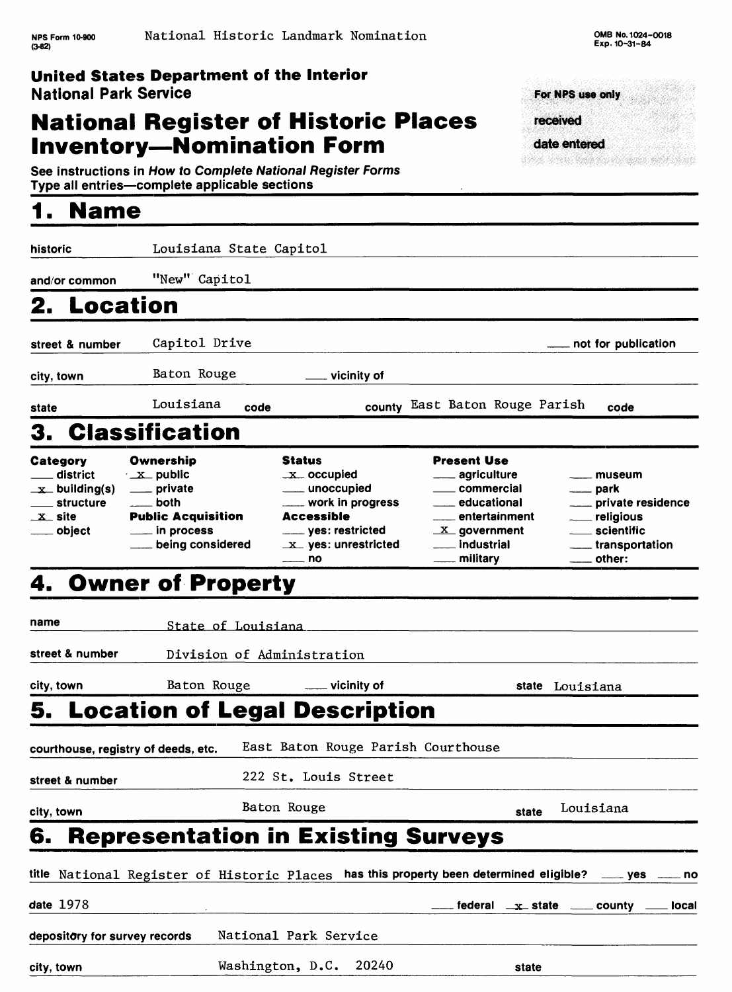# **National Register of Historic Places Inventory-Nomination Form**

For NPS use only received date entered

en de la provincia de la provincia de la provincia de la provincia de la provincia de la provincia de la provi

See instructions in How to Complete National Register Forms Type all entries—complete applicable sections

| <b>Name</b>                                                                                           |                                                                                                                                     |                                                                                                                                                                         |                                                                                                                                                                      |                                                                                                                            |
|-------------------------------------------------------------------------------------------------------|-------------------------------------------------------------------------------------------------------------------------------------|-------------------------------------------------------------------------------------------------------------------------------------------------------------------------|----------------------------------------------------------------------------------------------------------------------------------------------------------------------|----------------------------------------------------------------------------------------------------------------------------|
| historic                                                                                              | Louisiana State Capitol                                                                                                             |                                                                                                                                                                         |                                                                                                                                                                      |                                                                                                                            |
| and/or common                                                                                         | "New" Capitol                                                                                                                       |                                                                                                                                                                         |                                                                                                                                                                      |                                                                                                                            |
| 2. Location                                                                                           |                                                                                                                                     |                                                                                                                                                                         |                                                                                                                                                                      |                                                                                                                            |
| street & number                                                                                       | Capitol Drive                                                                                                                       |                                                                                                                                                                         |                                                                                                                                                                      | not for publication                                                                                                        |
| city, town                                                                                            | Baton Rouge                                                                                                                         | vicinity of                                                                                                                                                             |                                                                                                                                                                      |                                                                                                                            |
| state                                                                                                 | Louisiana<br>code                                                                                                                   |                                                                                                                                                                         | county East Baton Rouge Parish                                                                                                                                       | code                                                                                                                       |
|                                                                                                       | <b>Classification</b>                                                                                                               |                                                                                                                                                                         |                                                                                                                                                                      |                                                                                                                            |
| Category<br>district<br>$\mathbf{x}$ building(s)<br>── structure<br>$\mathbf{x}_-$ site<br>___ object | Ownership<br>$\sim$ $\mathbf{x}$ public<br>____ private<br>both<br><b>Public Acquisition</b><br>$\_$ in process<br>being considered | <b>Status</b><br>$-x$ occupied<br>____ unoccupied<br>_____ work in progress<br><b>Accessible</b><br>_____ yes: restricted<br>$\mathbf{x}$ yes: unrestricted<br>_____ no | <b>Present Use</b><br><u>__</u> __ agriculture<br>____ commercial<br>____ educational<br>entertainment<br>$X$ government<br>____ industrial<br><u>_</u> ___ military | — museum<br>____ park<br>___ private residence<br><u>_</u> __ religious<br>____ scientific<br>___ transportation<br>other: |
|                                                                                                       | 4. Owner of Property                                                                                                                |                                                                                                                                                                         |                                                                                                                                                                      |                                                                                                                            |
| name                                                                                                  | State of Louisiana                                                                                                                  |                                                                                                                                                                         |                                                                                                                                                                      |                                                                                                                            |
| street & number                                                                                       | Division of Administration                                                                                                          |                                                                                                                                                                         |                                                                                                                                                                      |                                                                                                                            |
| city, town                                                                                            | Baton Rouge                                                                                                                         | $\equiv$ vicinity of                                                                                                                                                    |                                                                                                                                                                      | state Louisiana                                                                                                            |
|                                                                                                       | 5.  Location of Legal Description                                                                                                   |                                                                                                                                                                         |                                                                                                                                                                      |                                                                                                                            |
| courthouse, registry of deeds, etc.                                                                   |                                                                                                                                     | East Baton Rouge Parish Courthouse                                                                                                                                      |                                                                                                                                                                      |                                                                                                                            |
| street & number                                                                                       |                                                                                                                                     | 222 St. Louis Street                                                                                                                                                    |                                                                                                                                                                      |                                                                                                                            |
| city, town                                                                                            |                                                                                                                                     | Baton Rouge                                                                                                                                                             | state                                                                                                                                                                | Louisiana                                                                                                                  |
| 6.                                                                                                    | <b>Representation in Existing Surveys</b>                                                                                           |                                                                                                                                                                         |                                                                                                                                                                      |                                                                                                                            |
|                                                                                                       | title National Register of Historic Places has this property been determined eligible?                                              |                                                                                                                                                                         |                                                                                                                                                                      | $\frac{1}{2}$ yes $\frac{1}{2}$ no                                                                                         |
| date 1978                                                                                             |                                                                                                                                     |                                                                                                                                                                         |                                                                                                                                                                      | federal $x$ state $x =$ county $x =$ local                                                                                 |
| depository for survey records                                                                         |                                                                                                                                     | National Park Service                                                                                                                                                   |                                                                                                                                                                      |                                                                                                                            |
| city, town                                                                                            |                                                                                                                                     | Washington, D.C.<br>20240                                                                                                                                               | state                                                                                                                                                                |                                                                                                                            |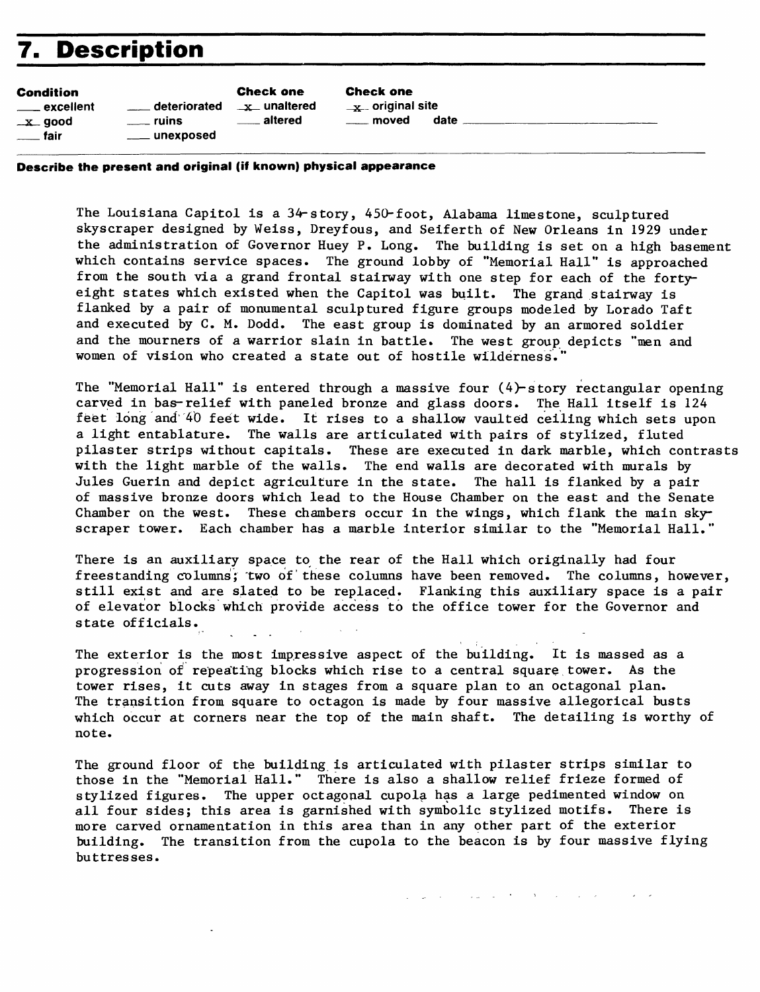# **7. Description**

| Condition             |                 | <b>Check one</b>               | <b>Check one</b>       |      |
|-----------------------|-----------------|--------------------------------|------------------------|------|
| ____ excellent        | deteriorated___ | $\cdot$ $\mathbf{x}$ unaltered | $\equiv$ original site |      |
| _x_ good              | <b>ruins</b>    | altered                        | <u>_</u> ___ moved     | date |
| <sub>_____</sub> fair | ____ unexposed  |                                |                        |      |

**Describe the present and original (if known) physical appearance**

The Louisiana Capitol is a 34-story, 450-foot, Alabama limestone, sculptured skyscraper designed by Weiss, Dreyfous, and Seiferth of New Orleans in 1929 under the administration of Governor Huey P. Long. The building is set on a high basement which contains service spaces. The ground lobby of "Memorial Hall" is approached from the south via a grand frontal stairway with one step for each of the fortyeight states which existed when the Capitol was built. The grand stairway is flanked by a pair of monumental sculptured figure groups modeled by Lorado Taft and executed by C. M. Dodd. The east group is dominated by an armored soldier and the mourners of a warrior slain in battle. The west group depicts "men and women of vision who created a state out of hostile wilderness.

The "Memorial Hall" is entered through a massive four (4)-story rectangular opening carved in bas-relief with paneled bronze and glass doors. The Hall itself is 124 feet long and 40 feet wide. It rises to a shallow vaulted ceiling which sets upon a light entablature. The walls are articulated with pairs of stylized, fluted pilaster strips without capitals. These are executed in dark marble, which contrasts with the light marble of the walls. The end walls are decorated with murals by Jules Guerin and depict agriculture in the state. The hall is flanked by a pair of massive bronze doors which lead to the House Chamber on the east and the Senate Chamber on the west. These chambers occur in the wings, which flank the main skyscraper tower. Each chamber has a marble interior similar to the "Memorial Hall.'

There is an auxiliary space to the rear of the Hall which originally had four freestanding columns; "two of these columns have been removed. The columns, however, still exist and are slated to be replaced. Flanking this auxiliary space is a pair of elevator blocks which provide access to the office tower for the Governor and state officials.

The exterior is the most impressive aspect of the building. It is massed as a progression of repeating blocks which rise to a central square tower. As the tower rises, it cuts away in stages from a square plan to an octagonal plan. The transition from square to octagon is made by four massive allegorical busts which occur at corners near the top of the main shaft. The detailing is worthy of note.

The ground floor of the building is articulated with pilaster strips similar to those in the "Memorial Hall." There is also a shallow relief frieze formed of stylized figures. The upper octagonal cupola has a large pedimented window on all four sides; this area is garnished with symbolic stylized motifs. There is more carved ornamentation in this area than in any other part of the exterior building. The transition from the cupola to the beacon is by four massive flying buttresses.

state and the state of the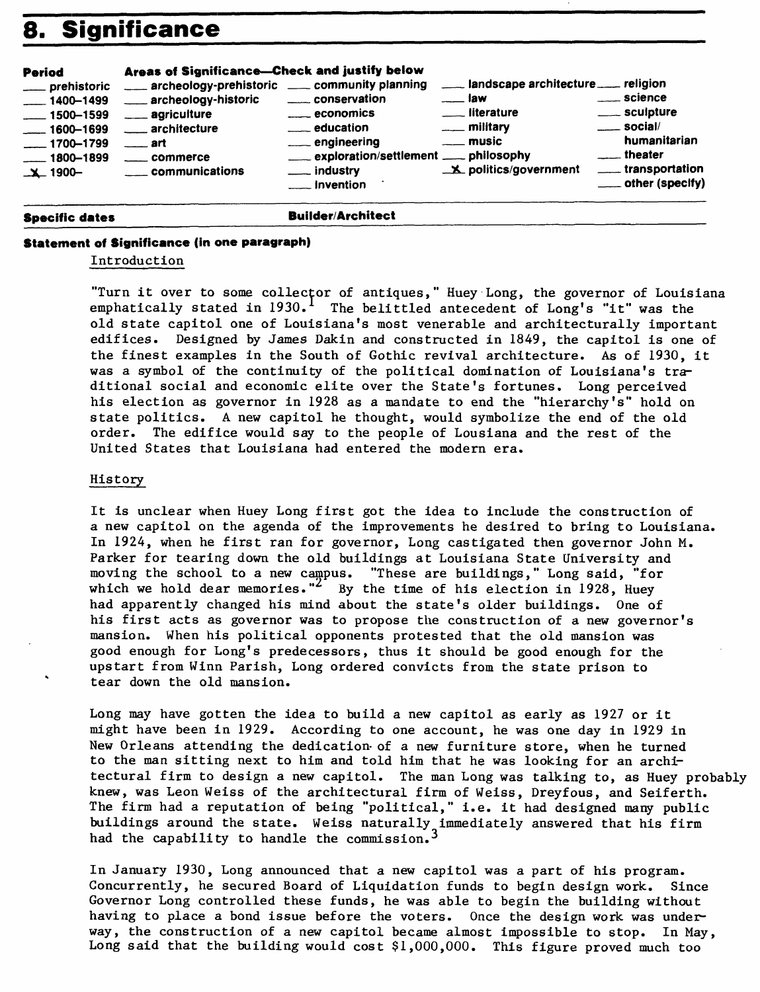# **8. Significance**

| <b>Period</b><br>___ prehistoric<br>$-1400 - 1499$<br>$\frac{1500 - 1599}{1500 - 1599}$<br>$\frac{1600 - 1699}{1600 - 1699}$<br>$\frac{1700 - 1799}{1700 - 1799}$<br>$1800 - 1899$<br>$X - 1900 -$ | Areas of Significance-Check and justify below<br>archeology-prehistoric _____ community planning<br>___ archeology-historic<br>____ agriculture<br>architecture<br>$\overline{\phantom{a}}$ art<br>commerce<br>communications | conservation<br>$\equiv$ economics<br><u>__</u> __ education<br>engineering<br>exploration/settlement ___ philosophy<br>___ industry<br><u>__</u> __ Invention | ___ landscape architecture ___ religion<br><sub>——</sub> law<br><u>__</u> _ literature<br>$\equiv$ military<br><u>_</u> __ music<br><b>X</b> politics/government | <u>__</u> __ science<br>____ sculpture<br>$\frac{1}{2}$ social/<br>humanitarian<br><u>__</u> __theater<br>_____ transportation<br>$\equiv$ other (specify) |
|----------------------------------------------------------------------------------------------------------------------------------------------------------------------------------------------------|-------------------------------------------------------------------------------------------------------------------------------------------------------------------------------------------------------------------------------|----------------------------------------------------------------------------------------------------------------------------------------------------------------|------------------------------------------------------------------------------------------------------------------------------------------------------------------|------------------------------------------------------------------------------------------------------------------------------------------------------------|
|----------------------------------------------------------------------------------------------------------------------------------------------------------------------------------------------------|-------------------------------------------------------------------------------------------------------------------------------------------------------------------------------------------------------------------------------|----------------------------------------------------------------------------------------------------------------------------------------------------------------|------------------------------------------------------------------------------------------------------------------------------------------------------------------|------------------------------------------------------------------------------------------------------------------------------------------------------------|

#### **Specific dates and Specific dates Builder/Architect**

#### **Statement of Significance (in one paragraph)**

#### Introduction

"Turn it over to some collector of antiques," Huey Long, the governor of Louisiana emphatically stated in  $1930.$ <sup>1</sup> The belittled antecedent of Long's "it" was the old state capitol one of Louisiana's most venerable and architecturally important edifices. Designed by James Dakin and constructed in 1849, the capitol is one of the finest examples in the South of Gothic revival architecture. As of 1930, it was a symbol of the continuity of the political domination of Louisiana's traditional social and economic elite over the State's fortunes. Long perceived his election as governor in 1928 as a mandate to end the "hierarchy's" hold on state politics. A new capitol he thought, would symbolize the end of the old order. The edifice would say to the people of Lousiana and the rest of the United States that Louisiana had entered the modern era.

#### History

It is unclear when Huey Long first got the idea to include the construction of a new capitol on the agenda of the improvements he desired to bring to Louisiana. In 1924, when he first ran for governor, Long castigated then governor John M. Parker for tearing down the old buildings at Louisiana State University and moving the school to a new campus. "These are buildings," Long said, "for which we hold dear memories."<sup>2</sup> By the time of his election in 1928, Huey had apparently changed his mind about the state's older buildings. One of his first acts as governor was to propose the construction of a new governor's mansion. When his political opponents protested that the old mansion was good enough for Long's predecessors, thus it should be good enough for the upstart from Winn Parish, Long ordered convicts from the state prison to tear down the old mansion.

Long may have gotten the idea to build a new capitol as early as 1927 or it might have been in 1929. According to one account, he was one day in 1929 in New Orleans attending the dedication- of a new furniture store, when he turned to the man sitting next to him and told him that he was looking for an architectural firm to design a new capitol. The man Long was talking to, as Huey probably knew, was Leon Weiss of the architectural firm of Weiss, Dreyfous, and Seiferth. The firm had a reputation of being "political," i.e. it had designed many public buildings around the state. Weiss naturally immediately answered that his firm had the capability to handle the commission.<sup>3</sup>

In January 1930, Long announced that a new capitol was a part of his program. Concurrently, he secured Board of Liquidation funds to begin design work. Since Governor Long controlled these funds, he was able to begin the building without having to place a bond issue before the voters. Once the design work was underway, the construction of a new capitol became almost impossible to stop. In May, Long said that the building would cost \$1,000,000. This figure proved much too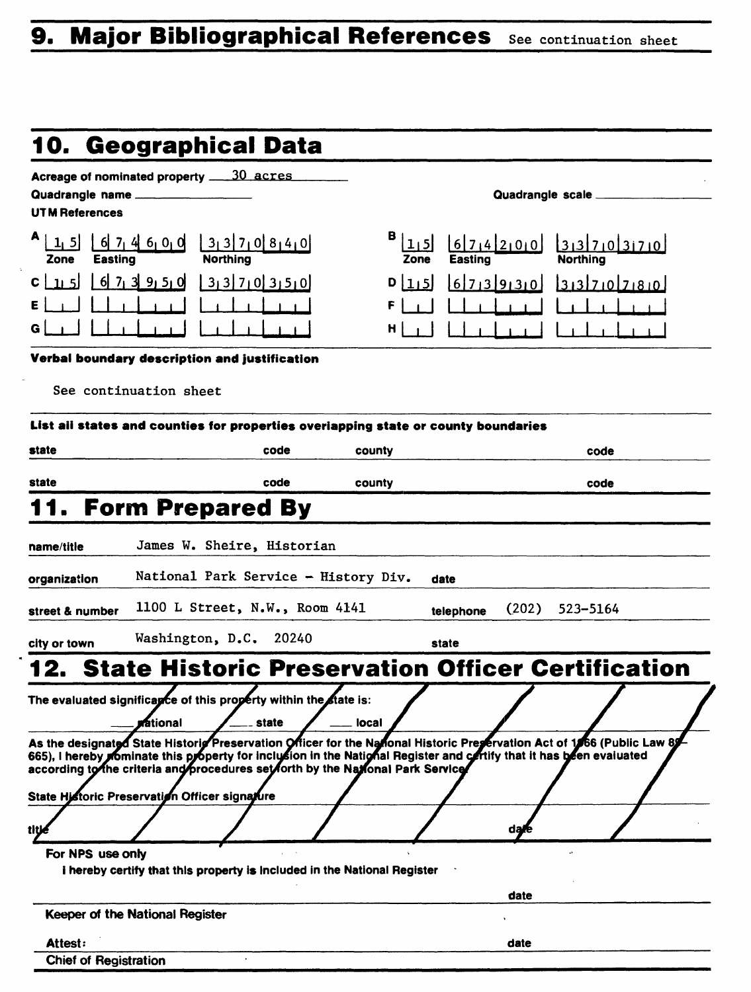# **9. Major Bibliographical References see continuation sheet**

| 10. Geographical Data<br>Acreage of nominated property ____30_acres<br>Quadrangle name<br>Quadrangle scale _____<br>UT M References<br>B (<br>$6$ 7 4 6 0 0<br>3 3 7 0 8 4 0<br>6714200<br> 1, 5 <br>31370370<br><b>Northing</b><br><b>Northing</b><br><b>Easting</b><br><b>Easting</b><br>Zone<br>Zone<br>$6$ 7 3 9 5 0<br>33703350<br>D[1,5]<br>67139130<br>31370780<br>-11-5İ<br>F<br>H.<br>Verbal boundary description and justification<br>See continuation sheet<br>List all states and counties for properties overlapping state or county boundaries<br>code<br>county<br>code<br>code<br>county<br>code<br><b>Form Prepared By</b><br>James W. Sheire, Historian<br>National Park Service - History Div.<br>date<br>1100 L Street, N.W., Room 4141<br>(202)<br>523-5164<br>telephone<br>Washington, D.C.<br>20240<br>state<br><b>State Historic Preservation Officer Certification</b><br>The evaluated significance of this property within the state is:<br><b>Mational</b><br>state<br>local<br>As the designated State Historio Preservation Officer for the National Historic Preservation Act of 1966 (Public Law 89<br>665), I hereby prominate this property for inclusion in the National Register and certify that it has been evaluated<br>according to the criteria and procedures set forth by the National Park Service<br>State Historic Preservation Officer signature<br>daye<br>title<br>For NPS use only<br>i hereby certify that this property is included in the National Register<br>date<br>Keeper of the National Register<br>Attest:<br>date<br><b>Chief of Registration</b> |                 |  |  |
|----------------------------------------------------------------------------------------------------------------------------------------------------------------------------------------------------------------------------------------------------------------------------------------------------------------------------------------------------------------------------------------------------------------------------------------------------------------------------------------------------------------------------------------------------------------------------------------------------------------------------------------------------------------------------------------------------------------------------------------------------------------------------------------------------------------------------------------------------------------------------------------------------------------------------------------------------------------------------------------------------------------------------------------------------------------------------------------------------------------------------------------------------------------------------------------------------------------------------------------------------------------------------------------------------------------------------------------------------------------------------------------------------------------------------------------------------------------------------------------------------------------------------------------------------------------------------------------------------------------|-----------------|--|--|
|                                                                                                                                                                                                                                                                                                                                                                                                                                                                                                                                                                                                                                                                                                                                                                                                                                                                                                                                                                                                                                                                                                                                                                                                                                                                                                                                                                                                                                                                                                                                                                                                                |                 |  |  |
|                                                                                                                                                                                                                                                                                                                                                                                                                                                                                                                                                                                                                                                                                                                                                                                                                                                                                                                                                                                                                                                                                                                                                                                                                                                                                                                                                                                                                                                                                                                                                                                                                |                 |  |  |
|                                                                                                                                                                                                                                                                                                                                                                                                                                                                                                                                                                                                                                                                                                                                                                                                                                                                                                                                                                                                                                                                                                                                                                                                                                                                                                                                                                                                                                                                                                                                                                                                                |                 |  |  |
|                                                                                                                                                                                                                                                                                                                                                                                                                                                                                                                                                                                                                                                                                                                                                                                                                                                                                                                                                                                                                                                                                                                                                                                                                                                                                                                                                                                                                                                                                                                                                                                                                |                 |  |  |
|                                                                                                                                                                                                                                                                                                                                                                                                                                                                                                                                                                                                                                                                                                                                                                                                                                                                                                                                                                                                                                                                                                                                                                                                                                                                                                                                                                                                                                                                                                                                                                                                                |                 |  |  |
|                                                                                                                                                                                                                                                                                                                                                                                                                                                                                                                                                                                                                                                                                                                                                                                                                                                                                                                                                                                                                                                                                                                                                                                                                                                                                                                                                                                                                                                                                                                                                                                                                |                 |  |  |
|                                                                                                                                                                                                                                                                                                                                                                                                                                                                                                                                                                                                                                                                                                                                                                                                                                                                                                                                                                                                                                                                                                                                                                                                                                                                                                                                                                                                                                                                                                                                                                                                                |                 |  |  |
|                                                                                                                                                                                                                                                                                                                                                                                                                                                                                                                                                                                                                                                                                                                                                                                                                                                                                                                                                                                                                                                                                                                                                                                                                                                                                                                                                                                                                                                                                                                                                                                                                |                 |  |  |
|                                                                                                                                                                                                                                                                                                                                                                                                                                                                                                                                                                                                                                                                                                                                                                                                                                                                                                                                                                                                                                                                                                                                                                                                                                                                                                                                                                                                                                                                                                                                                                                                                |                 |  |  |
|                                                                                                                                                                                                                                                                                                                                                                                                                                                                                                                                                                                                                                                                                                                                                                                                                                                                                                                                                                                                                                                                                                                                                                                                                                                                                                                                                                                                                                                                                                                                                                                                                |                 |  |  |
|                                                                                                                                                                                                                                                                                                                                                                                                                                                                                                                                                                                                                                                                                                                                                                                                                                                                                                                                                                                                                                                                                                                                                                                                                                                                                                                                                                                                                                                                                                                                                                                                                |                 |  |  |
|                                                                                                                                                                                                                                                                                                                                                                                                                                                                                                                                                                                                                                                                                                                                                                                                                                                                                                                                                                                                                                                                                                                                                                                                                                                                                                                                                                                                                                                                                                                                                                                                                | state           |  |  |
|                                                                                                                                                                                                                                                                                                                                                                                                                                                                                                                                                                                                                                                                                                                                                                                                                                                                                                                                                                                                                                                                                                                                                                                                                                                                                                                                                                                                                                                                                                                                                                                                                | state           |  |  |
|                                                                                                                                                                                                                                                                                                                                                                                                                                                                                                                                                                                                                                                                                                                                                                                                                                                                                                                                                                                                                                                                                                                                                                                                                                                                                                                                                                                                                                                                                                                                                                                                                |                 |  |  |
|                                                                                                                                                                                                                                                                                                                                                                                                                                                                                                                                                                                                                                                                                                                                                                                                                                                                                                                                                                                                                                                                                                                                                                                                                                                                                                                                                                                                                                                                                                                                                                                                                |                 |  |  |
|                                                                                                                                                                                                                                                                                                                                                                                                                                                                                                                                                                                                                                                                                                                                                                                                                                                                                                                                                                                                                                                                                                                                                                                                                                                                                                                                                                                                                                                                                                                                                                                                                | name/title      |  |  |
|                                                                                                                                                                                                                                                                                                                                                                                                                                                                                                                                                                                                                                                                                                                                                                                                                                                                                                                                                                                                                                                                                                                                                                                                                                                                                                                                                                                                                                                                                                                                                                                                                | organization    |  |  |
|                                                                                                                                                                                                                                                                                                                                                                                                                                                                                                                                                                                                                                                                                                                                                                                                                                                                                                                                                                                                                                                                                                                                                                                                                                                                                                                                                                                                                                                                                                                                                                                                                | street & number |  |  |
|                                                                                                                                                                                                                                                                                                                                                                                                                                                                                                                                                                                                                                                                                                                                                                                                                                                                                                                                                                                                                                                                                                                                                                                                                                                                                                                                                                                                                                                                                                                                                                                                                | city or town    |  |  |
|                                                                                                                                                                                                                                                                                                                                                                                                                                                                                                                                                                                                                                                                                                                                                                                                                                                                                                                                                                                                                                                                                                                                                                                                                                                                                                                                                                                                                                                                                                                                                                                                                |                 |  |  |
|                                                                                                                                                                                                                                                                                                                                                                                                                                                                                                                                                                                                                                                                                                                                                                                                                                                                                                                                                                                                                                                                                                                                                                                                                                                                                                                                                                                                                                                                                                                                                                                                                |                 |  |  |
|                                                                                                                                                                                                                                                                                                                                                                                                                                                                                                                                                                                                                                                                                                                                                                                                                                                                                                                                                                                                                                                                                                                                                                                                                                                                                                                                                                                                                                                                                                                                                                                                                |                 |  |  |
|                                                                                                                                                                                                                                                                                                                                                                                                                                                                                                                                                                                                                                                                                                                                                                                                                                                                                                                                                                                                                                                                                                                                                                                                                                                                                                                                                                                                                                                                                                                                                                                                                |                 |  |  |
|                                                                                                                                                                                                                                                                                                                                                                                                                                                                                                                                                                                                                                                                                                                                                                                                                                                                                                                                                                                                                                                                                                                                                                                                                                                                                                                                                                                                                                                                                                                                                                                                                |                 |  |  |
|                                                                                                                                                                                                                                                                                                                                                                                                                                                                                                                                                                                                                                                                                                                                                                                                                                                                                                                                                                                                                                                                                                                                                                                                                                                                                                                                                                                                                                                                                                                                                                                                                |                 |  |  |
|                                                                                                                                                                                                                                                                                                                                                                                                                                                                                                                                                                                                                                                                                                                                                                                                                                                                                                                                                                                                                                                                                                                                                                                                                                                                                                                                                                                                                                                                                                                                                                                                                |                 |  |  |
|                                                                                                                                                                                                                                                                                                                                                                                                                                                                                                                                                                                                                                                                                                                                                                                                                                                                                                                                                                                                                                                                                                                                                                                                                                                                                                                                                                                                                                                                                                                                                                                                                |                 |  |  |
|                                                                                                                                                                                                                                                                                                                                                                                                                                                                                                                                                                                                                                                                                                                                                                                                                                                                                                                                                                                                                                                                                                                                                                                                                                                                                                                                                                                                                                                                                                                                                                                                                |                 |  |  |
|                                                                                                                                                                                                                                                                                                                                                                                                                                                                                                                                                                                                                                                                                                                                                                                                                                                                                                                                                                                                                                                                                                                                                                                                                                                                                                                                                                                                                                                                                                                                                                                                                |                 |  |  |
|                                                                                                                                                                                                                                                                                                                                                                                                                                                                                                                                                                                                                                                                                                                                                                                                                                                                                                                                                                                                                                                                                                                                                                                                                                                                                                                                                                                                                                                                                                                                                                                                                |                 |  |  |
|                                                                                                                                                                                                                                                                                                                                                                                                                                                                                                                                                                                                                                                                                                                                                                                                                                                                                                                                                                                                                                                                                                                                                                                                                                                                                                                                                                                                                                                                                                                                                                                                                |                 |  |  |
|                                                                                                                                                                                                                                                                                                                                                                                                                                                                                                                                                                                                                                                                                                                                                                                                                                                                                                                                                                                                                                                                                                                                                                                                                                                                                                                                                                                                                                                                                                                                                                                                                |                 |  |  |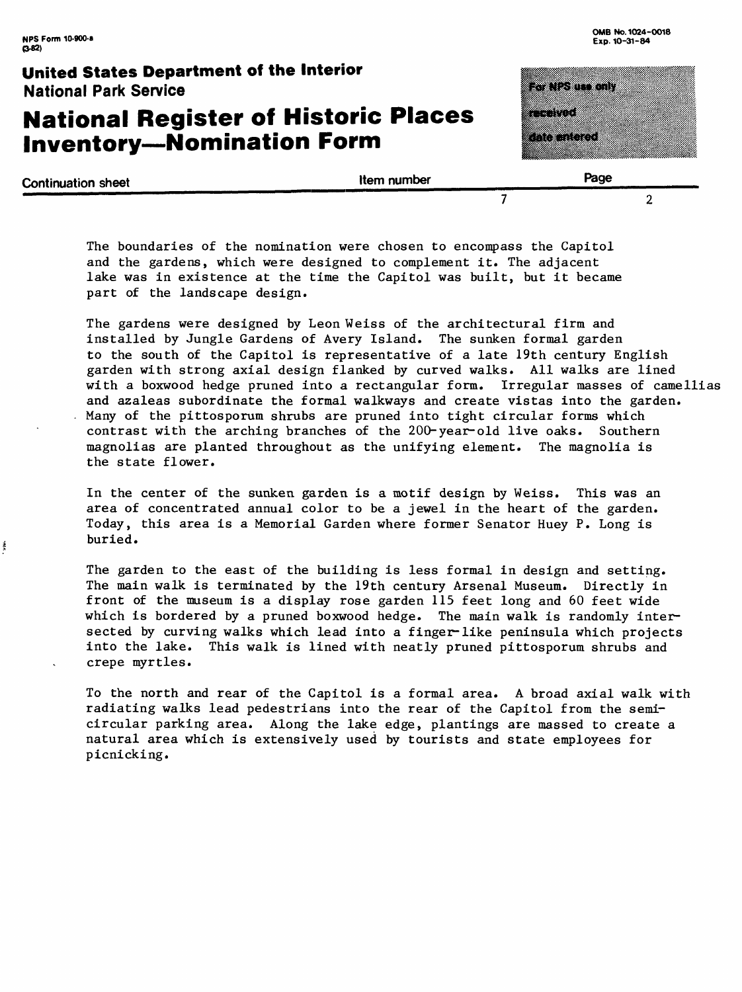ŧ

#### **United States Department of the Interior** National Park Service

# **National Register of Historic Places Inventory-Nomination Form**

| <u>ra visua any</u> |            |  |
|---------------------|------------|--|
|                     |            |  |
|                     |            |  |
|                     |            |  |
|                     |            |  |
|                     | ancentered |  |

| <b>Continuation sheet</b> | <b>Item number</b> | Page |
|---------------------------|--------------------|------|
|                           |                    |      |

The boundaries of the nomination were chosen to encompass the Capitol and the gardens, which were designed to complement it. The adjacent lake was in existence at the time the Capitol was built, but it became part of the landscape design.

The gardens were designed by Leon Weiss of the architectural firm and installed by Jungle Gardens of Avery Island. The sunken formal garden to the south of the Capitol is representative of a late 19th century English garden with strong axial design flanked by curved walks. All walks are lined with a boxwood hedge pruned into a rectangular form. Irregular masses of camellias and azaleas subordinate the formal walkways and create vistas into the garden. Many of the pittosporum shrubs are pruned into tight circular forms which contrast with the arching branches of the 200-year-old live oaks. Southern magnolias are planted throughout as the unifying element. The magnolia is the state flower.

In the center of the sunken garden is a motif design by Weiss. This was an area of concentrated annual color to be a jewel in the heart of the garden. Today, this area is a Memorial Garden where former Senator Huey P. Long is buried.

The garden to the east of the building is less formal in design and setting. The main walk is terminated by the 19th century Arsenal Museum. Directly in front of the museum is a display rose garden 115 feet long and 60 feet wide which is bordered by a pruned boxwood hedge. The main walk is randomly intersected by curving walks which lead into a finger-like peninsula which projects into the lake. This walk is lined with neatly pruned pittosporum shrubs and crepe myrtles.

To the north and rear of the Capitol is a formal area. A broad axial walk with radiating walks lead pedestrians into the rear of the Capitol from the semicircular parking area. Along the lake edge, plantings are massed to create a natural area which is extensively used by tourists and state employees for picnicking.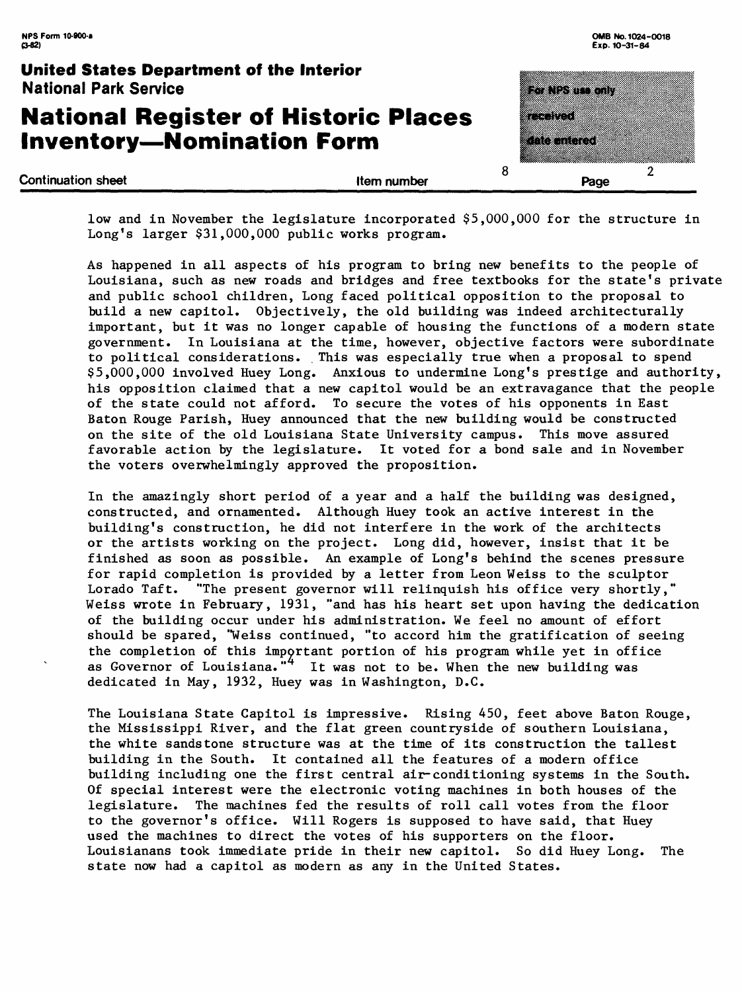# **National Register of Historic Places Inventory-Nomination Form**



low and in November the legislature incorporated \$5,000,000 for the structure in Long's larger  $$31,000,000$  public works program.

As happened in all aspects of his program to bring new benefits to the people of Louisiana, such as new roads and bridges and free textbooks for the state's private and public school children, Long faced political opposition to the proposal to build a new capitol. Objectively, the old building was indeed architecturally important, but it was no longer capable of housing the functions of a modern state government. In Louisiana at the time, however, objective factors were subordinate to political considerations. This was especially true when a proposal to spend \$5,000,000 involved Huey Long. Anxious to undermine Long's prestige and authority, his opposition claimed that a new capitol would be an extravagance that the people of the state could not afford. To secure the votes of his opponents in East Baton Rouge Parish, Huey announced that the new building would be constructed on the site of the old Louisiana State University campus. This move assured favorable action by the legislature. It voted for a bond sale and in November the voters overwhelmingly approved the proposition.

In the amazingly short period of a year and a half the building was designed, constructed, and ornamented. Although Huey took an active interest in the building's construction, he did not interfere in the work of the architects or the artists working on the project. Long did, however, insist that it be finished as soon as possible. An example of Long's behind the scenes pressure for rapid completion is provided by a letter from Leon Weiss to the sculptor Lorado Taft. "The present governor will relinquish his office very shortly,' Weiss wrote in February, 1931, "and has his heart set upon having the dedication of the building occur under his administration. We feel no amount of effort should be spared, "Weiss continued, "to accord him the gratification of seeing the completion of this important portion of his program while yet in office as Governor of Louisiana."<sup>4</sup> It was not to be. When the new building was dedicated in May, 1932, Huey was in Washington, B.C.

The Louisiana State Capitol is impressive. Rising 450, feet above Baton Rouge, the Mississippi River, and the flat green countryside of southern Louisiana, the white sandstone structure was at the time of its construction the tallest building in the South. It contained all the features of a modern office building including one the first central air-conditioning systems in the South. Of special interest were the electronic voting machines in both houses of the legislature. The machines fed the results of roll call votes from the floor to the governor's office. Will Rogers is supposed to have said, that Huey used the machines to direct the votes of his supporters on the floor. Louisianans took immediate pride in their new capitol. So did Huey Long. The state now had a capitol as modern as any in the United States.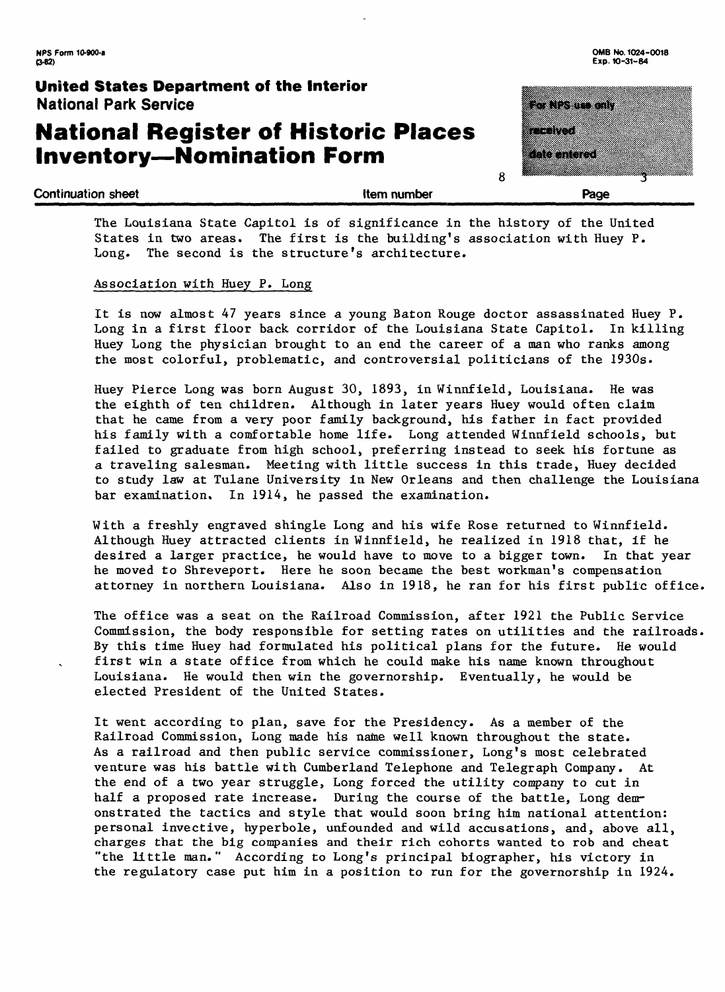# **National Register of Historic Places Inventory-Nomination Form**



**Exp. 10-31-84**

**Continuation sheet Continuation sheet Continuation sheet Continuation sheet Continuation sheet Continuation in the Page** 

**8** 

The Louisiana State Capitol is of significance in the history of the United States in two areas. The first is the building's association with Huey P. Long. The second is the structure's architecture.

#### Association with Huey P. Long

It is now almost 47 years since a young Baton Rouge doctor assassinated Huey P. Long in a first floor back corridor of the Louisiana State Capitol. In killing Huey Long the physician brought to an end the career of a man who ranks among the most colorful, problematic, and controversial politicians of the 1930s.

Huey Pierce Long was born August 30, 1893, in Winnfield, Louisiana. He was the eighth of ten children. Although in later years Huey would often claim that he came from a very poor family background, his father in fact provided his family with a comfortable home life. Long attended Winnfield schools, but failed to graduate from high school, preferring instead to seek his fortune as a traveling salesman. Meeting with little success in this trade, Huey decided to study law at Tulane University in New Orleans and then challenge the Louisiana bar examination. In 1914, he passed the examination.

With a freshly engraved shingle Long and his wife Rose returned to Winnfield. Although Huey attracted clients in Winnfield, he realized in 1918 that, if he desired a larger practice, he would have to move to a bigger town. In that year he moved to Shreveport. Here he soon became the best workman's compensation attorney in northern Louisiana. Also in 1918, he ran for his first public office,

The office was a seat on the Railroad Commission, after 1921 the Public Service Commission, the body responsible for setting rates on utilities and the railroads. By this time Huey had formulated his political plans for the future. He would first win a state office from which he could make his name known throughout Louisiana. He would then win the governorship. Eventually, he would be elected President of the United States.

It went according to plan, save for the Presidency. As a member of the Railroad Commission, Long made his name well known throughout the state. As a railroad and then public service commissioner, Long's most celebrated venture was his battle with Cumberland Telephone and Telegraph Company. At the end of a two year struggle, Long forced the utility company to cut in half a proposed rate increase. During the course of the battle, Long demonstrated the tactics and style that would soon bring him national attention: personal invective, hyperbole, unfounded and wild accusations, and, above all, charges that the big companies and their rich cohorts wanted to rob and cheat "the little man." According to Long's principal biographer, his victory in the regulatory case put him in a position to run for the governorship in 1924.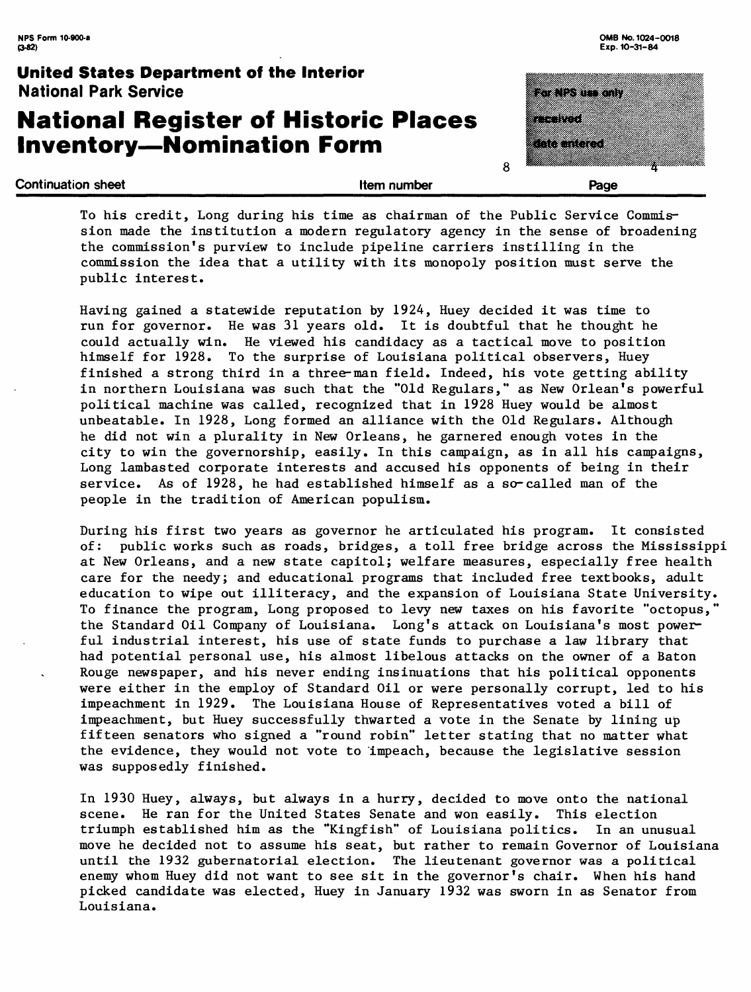# **National Register of Historic Places**  <sub>National Park Service<br><mark>National Register of Historic</mark><br>Inventory—Nomination Form</sub>

| <b>Continuation sheet</b><br>Item number                                        | Page                              |
|---------------------------------------------------------------------------------|-----------------------------------|
| <b>National Register of Historic Places</b><br><b>Inventory-Nomination Form</b> | an an an A<br><u>ka termatan </u> |
| United States Department of the Interior<br><b>National Park Service</b>        | <b>The New York Control</b>       |

To his credit, Long during his time as chairman of the Public Service Commission made the institution a modern regulatory agency in the sense of broadening the commission's purview to include pipeline carriers instilling in the commission the idea that a utility with its monopoly position must serve the public interest.

Having gained a statewide reputation by 1924, Huey decided it was time to run for governor. He was 31 years old. It is doubtful that he thought he could actually win. He viewed his candidacy as a tactical move to position himself for 1928. To the surprise of Louisiana political observers, Huey finished a strong third in a three-man field. Indeed, his vote getting ability in northern Louisiana was such that the "Old Regulars," as New Orlean's powerful political machine was called, recognized that in 1928 Huey would be almost unbeatable. In 1928, Long formed an alliance with the Old Regulars. Although he did not win a plurality in New Orleans, he garnered enough votes in the city to win the governorship, easily. In this campaign, as in all his campaigns, Long lambasted corporate interests and accused his opponents of being in their service. As of 1928, he had established himself as a so-called man of the people in the tradition of American populism.

During his first two years as governor he articulated his program. It consisted of: public works such as roads, bridges, a toll free bridge across the Mississippi at New Orleans, and a new state capitol; welfare measures, especially free health care for the needy; and educational programs that included free textbooks, adult education to wipe out illiteracy, and the expansion of Louisiana State University. To finance the program, Long proposed to levy new taxes on his favorite "octopus," the Standard Oil Company of Louisiana. Long's attack on Louisiana's most powerful industrial interest, his use of state funds to purchase a law library that had potential personal use, his almost libelous attacks on the owner of a Baton Rouge newspaper, and his never ending insinuations that his political opponents were either in the employ of Standard Oil or were personally corrupt, led to his impeachment in 1929. The Louisiana House of Representatives voted a bill of impeachment, but Huey successfully thwarted a vote in the Senate by lining up fifteen senators who signed a "round robin" letter stating that no matter what the evidence, they would not vote to impeach, because the legislative session was supposedly finished.

In 1930 Huey, always, but always in a hurry, decided to move onto the national scene. He ran for the United States Senate and won easily. This election triumph established him as the "Kingfish" of Louisiana politics. In an unusual move he decided not to assume his seat, but rather to remain Governor of Louisiana until the 1932 gubernatorial election. The lieutenant governor was a political enemy whom Huey did not want to see sit in the governor's chair. When his hand picked candidate was elected, Huey in January 1932 was sworn in as Senator from Louisiana.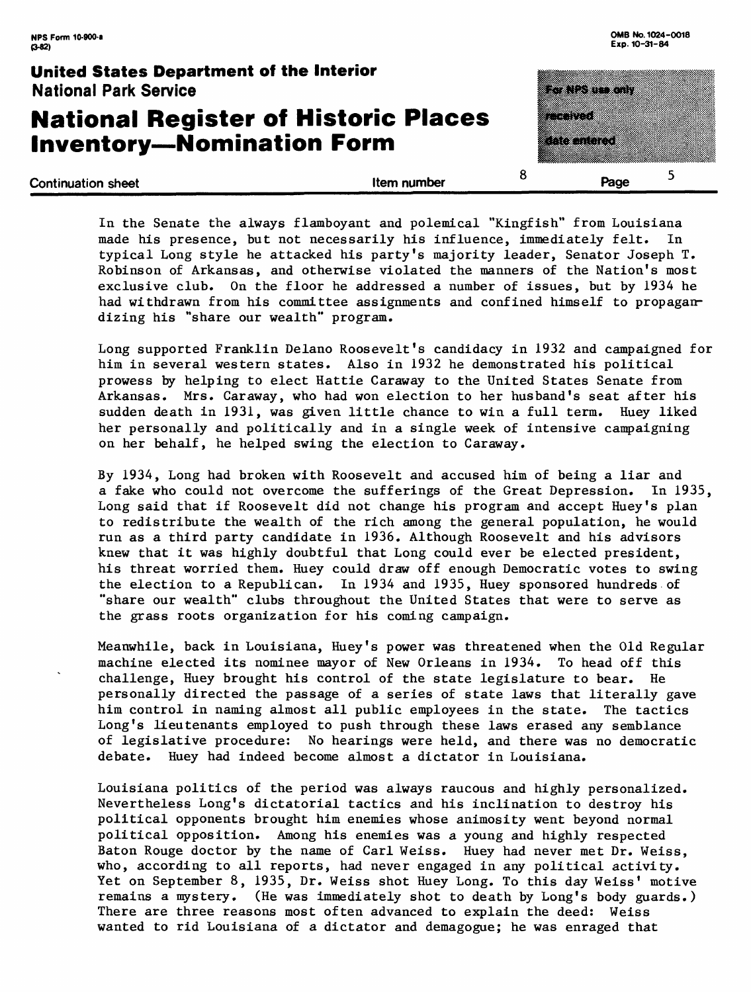# **National Register of Historic Places Inventory-Nomination Form**

| United States Department of the Interior<br><b>National Park Service</b>        |             | <u> Europa d</u>                      |  |
|---------------------------------------------------------------------------------|-------------|---------------------------------------|--|
| <b>National Register of Historic Places</b><br><b>Inventory-Nomination Form</b> |             | <u> Martin St</u><br><u>ka kuna k</u> |  |
| <b>Continuation sheet</b>                                                       | Item number | Page                                  |  |

In the Senate the always flamboyant and polemical "Kingfish" from Louisiana made his presence, but not necessarily his influence, immediately felt. In typical Long style he attacked his party's majority leader, Senator Joseph T. Robinson of Arkansas, and otherwise violated the manners of the Nation's most exclusive club. On the floor he addressed a number of issues, but by 1934 he had withdrawn from his committee assignments and confined himself to propagandizing his "share our wealth" program.

Long supported Franklin Delano Roosevelt's candidacy in 1932 and campaigned for him in several western states. Also in 1932 he demonstrated his political prowess by helping to elect Hattie Caraway to the United States Senate from Arkansas. Mrs. Caraway, who had won election to her husband's seat after his sudden death in 1931, was given little chance to win a full term. Huey liked her personally and politically and in a single week of intensive campaigning on her behalf, he helped swing the election to Caraway.

By 1934, Long had broken with Roosevelt and accused him of being a liar and a fake who could not overcome the sufferings of the Great Depression. In 1935, Long said that if Roosevelt did not change his program and accept Huey's plan to redistribute the wealth of the rich among the general population, he would run as a third party candidate in 1936. Although Roosevelt and his advisors knew that it was highly doubtful that Long could ever be elected president, his threat worried them. Huey could draw off enough Democratic votes to swing the election to a Republican. In 1934 and 1935, Huey sponsored hundreds of "share our wealth" clubs throughout the United States that were to serve as the grass roots organization for his coming campaign.

Meanwhile, back in Louisiana, Huey's power was threatened when the Old Regular machine elected its nominee mayor of New Orleans in 1934. To head off this challenge, Huey brought his control of the state legislature to bear. He personally directed the passage of a series of state laws that literally gave him control in naming almost all public employees in the state. The tactics Long's lieutenants employed to push through these laws erased any semblance of legislative procedure: No hearings were held, and there was no democratic debate. Huey had indeed become almost a dictator in Louisiana.

Louisiana politics of the period was always raucous and highly personalized. Nevertheless Long's dictatorial tactics and his inclination to destroy his political opponents brought him enemies whose animosity went beyond normal political opposition. Among his enemies was a young and highly respected Baton Rouge doctor by the name of Carl Weiss. Huey had never met Dr. Weiss, who, according to all reports, had never engaged in any political activity. Yet on September 8, 1935, Dr. Weiss shot Huey Long. To this day Weiss' motive remains a mystery. (He was immediately shot to death by Long's body guards.) There are three reasons most often advanced to explain the deed: Weiss wanted to rid Louisiana of a dictator and demagogue; he was enraged that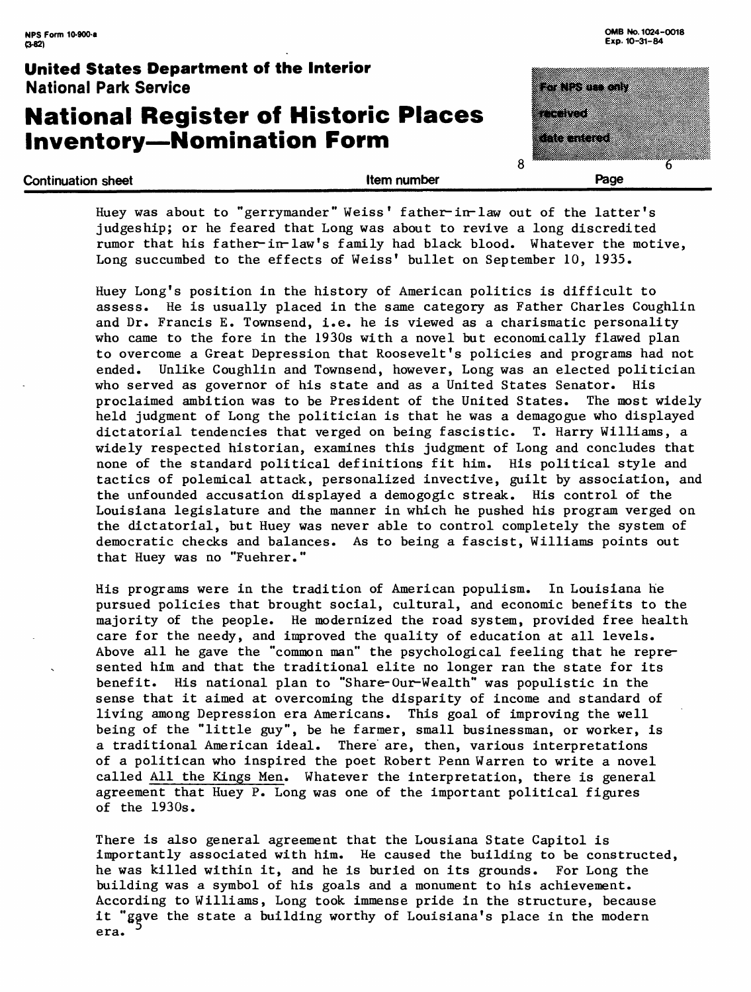# **National Register of Historic Places Inventory-Nomination Form**

**Continuation sheet Continuation sheet** 

| 8 |                   |
|---|-------------------|
|   |                   |
|   | a da daga         |
|   |                   |
|   | 83888             |
|   |                   |
|   |                   |
|   | <u>to katalog</u> |
|   |                   |
|   |                   |

Huey was about to "gerrymander" Weiss' father-in-law out of the latter's judgeship; or he feared that Long was about to revive a long discredited rumor that his father-in-law's family had black blood. Whatever the motive, Long succumbed to the effects of Weiss' bullet on September 10, 1935.

Huey Long's position in the history of American politics is difficult to assess. He is usually placed in the same category as Father Charles Coughlin and Dr. Francis E. Townsend, i.e. he is viewed as a charismatic personality who came to the fore in the 1930s with a novel but economically flawed plan to overcome a Great Depression that Roosevelt's policies and programs had not ended. Unlike Coughlin and Townsend, however, Long was an elected politician who served as governor of his state and as a United States Senator. His proclaimed ambition was to be President of the United States. The most widely held judgment of Long the politician is that he was a demagogue who displayed dictatorial tendencies that verged on being fascistic. T. Harry Williams, a widely respected historian, examines this judgment of Long and concludes that none of the standard political definitions fit him. His political style and tactics of polemical attack, personalized invective, guilt by association, and the unfounded accusation displayed a demogogic streak. His control of the Louisiana legislature and the manner in which he pushed his program verged on the dictatorial, but Huey was never able to control completely the system of democratic checks and balances. As to being a fascist, Williams points out that Huey was no "Fuehrer."

His programs were in the tradition of American populism. In Louisiana he pursued policies that brought social, cultural, and economic benefits to the majority of the people. He modernized the road system, provided free health care for the needy, and improved the quality of education at all levels. Above all he gave the "common man" the psychological feeling that he represented him and that the traditional elite no longer ran the state for its benefit. His national plan to "Share-Our-Wealth" was populistic in the sense that it aimed at overcoming the disparity of income and standard of living among Depression era Americans. This goal of improving the well being of the "little guy", be he farmer, small businessman, or worker, is a traditional American ideal. There are, then, various interpretations of a politican who inspired the poet Robert Penn Warren to write a novel called All the Kings Men. Whatever the interpretation, there is general agreement that Huey P. Long was one of the important political figures of the 1930s.

There is also general agreement that the Lousiana State Capitol is importantly associated with him. He caused the building to be constructed, he was killed within it, and he is buried on its grounds. For Long the building was a symbol of his goals and a monument to his achievement. According to Williams, Long took immense pride in the structure, because it "gave the state a building worthy of Louisiana's place in the modern era.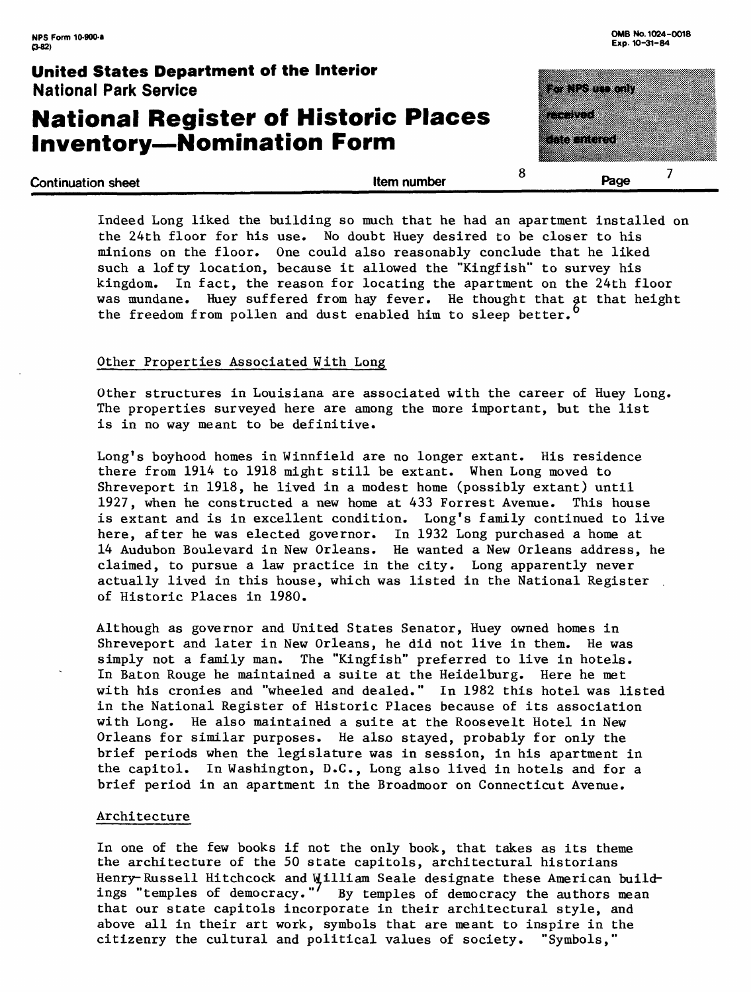# **National Register of Historic Places**  <sub>National Park Service<br><mark>National Register of Historic</mark><br>Inventory—Nomination Form</sub>

itan di kacam a a shekara a a shekara o  $\overline{7}$ **Continuation sheet** Page

Indeed Long liked the building so much that he had an apartment installed on the 24th floor for his use. No doubt Huey desired to be closer to his minions on the floor. One could also reasonably conclude that he liked such a lofty location, because it allowed the "Kingfish" to survey his kingdom. In fact, the reason for locating the apartment on the 24th floor was mundane. Huey suffered from hay fever. He thought that at that height the freedom from pollen and dust enabled him to sleep better.

#### Other Properties Associated With Long

Other structures in Louisiana are associated with the career of Huey Long. The properties surveyed here are among the more important, but the list is in no way meant to be definitive.

Long's boyhood homes in Winnfield are no longer extant. His residence there from 1914 to 1918 might still be extant. When Long moved to Shreveport in 1918, he lived in a modest home (possibly extant) until 1927, when he constructed a new home at 433 Forrest Avenue. This house is extant and is in excellent condition. Long's family continued to live here, after he was elected governor. In 1932 Long purchased a home at 14 Audubon Boulevard in New Orleans. He wanted a New Orleans address, he claimed, to pursue a law practice in the city. Long apparently never actually lived in this house, which was listed in the National Register of Historic Places in 1980.

Although as governor and United States Senator, Huey owned homes in Shreveport and later in New Orleans, he did not live in them. He was simply not a family man. The "Kingfish" preferred to live in hotels. In Baton Rouge he maintained a suite at the Heidelburg. Here he met with his cronies and "wheeled and dealed." In 1982 this hotel was listed in the National Register of Historic Places because of its association with Long. He also maintained a suite at the Roosevelt Hotel in New Orleans for similar purposes. He also stayed, probably for only the brief periods when the legislature was in session, in his apartment in the capitol. In Washington, D.C., Long also lived in hotels and for a brief period in an apartment in the Broadmoor on Connecticut Avenue.

#### Architecture

In one of the few books if not the only book, that takes as its theme the architecture of the 50 state capitols, architectural historians Henry- Russell Hitchcock and William Seale designate these American buildings "temples of democracy."<sup>7</sup> By temples of democracy the authors mean that our state capitols incorporate in their architectural style, and above all in their art work, symbols that are meant to inspire in the citizenry the cultural and political values of society. "Symbols,"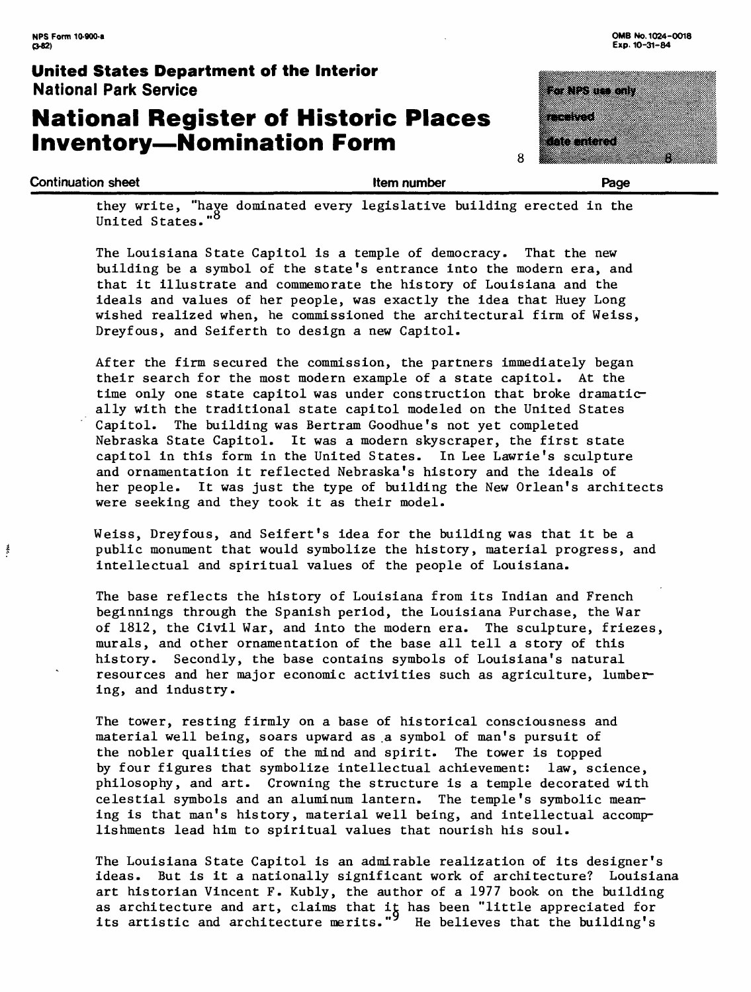ţ

### **United States Department of the Interior National Park Service**

# **National Register of Historic Places**  <sub>National Park Service<br><mark>National Register of Historic</mark><br>Inventory—Nomination Form</sub>

| or NPS um anly                                                                                                                                                                                                                   |  |  |
|----------------------------------------------------------------------------------------------------------------------------------------------------------------------------------------------------------------------------------|--|--|
|                                                                                                                                                                                                                                  |  |  |
|                                                                                                                                                                                                                                  |  |  |
| e e compositor de la compositor de la compositor de la composition de la composition de la composition de la c<br>Composition de la composition de la composition de la composition de la composition de la composition de la co |  |  |
|                                                                                                                                                                                                                                  |  |  |
| <u>Noontered</u>                                                                                                                                                                                                                 |  |  |
|                                                                                                                                                                                                                                  |  |  |
|                                                                                                                                                                                                                                  |  |  |

8

they write, "have dominated every legislative building erected in the United States."<sup>8</sup>

Continuation sheet **Executive Executive Continuation sheet Page Page Page** 2014

The Louisiana State Capitol is a temple of democracy. That the new building be a symbol of the state's entrance into the modern era, and that it illustrate and commemorate the history of Louisiana and the ideals and values of her people, was exactly the idea that Huey Long wished realized when, he commissioned the architectural firm of Weiss, Dreyfous, and Seiferth to design a new Capitol.

After the firm secured the commission, the partners immediately began their search for the most modern example of a state capitol. At the time only one state capitol was under construction that broke dramatically with the traditional state capitol modeled on the United States Capitol. The building was Bertram Goodhue's not yet completed Nebraska State Capitol. It was a modern skyscraper, the first state capitol in this form in the United States. In Lee Lawrie's sculpture and ornamentation it reflected Nebraska's history and the ideals of her people. It was just the type of building the New Orlean's architects were seeking and they took it as their model.

Weiss, Dreyfous, and Seifert's idea for the building was that it be a public monument that would symbolize the history, material progress, and intellectual and spiritual values of the people of Louisiana.

The base reflects the history of Louisiana from its Indian and French beginnings through the Spanish period, the Louisiana Purchase, the War of 1812, the Civil War, and into the modern era. The sculpture, friezes, murals, and other ornamentation of the base all tell a story of this history. Secondly, the base contains symbols of Louisiana's natural resources and her major economic activities such as agriculture, lumbering, and industry.

The tower, resting firmly on a base of historical consciousness and material well being, soars upward as a symbol of man's pursuit of the nobler qualities of the mind and spirit. The tower is topped by four figures that symbolize intellectual achievement: law, science, philosophy, and art. Crowning the structure is a temple decorated with celestial symbols and an aluminum lantern. The temple's symbolic meaning is that man's history, material well being, and intellectual accomplishments lead him to spiritual values that nourish his soul.

The Louisiana State Capitol is an admirable realization of its designer's ideas. But is it a nationally significant work of architecture? Louisiana art historian Vincent F. Kubly, the author of a 1977 book on the building as architecture and art, claims that it has been "little appreciated for its artistic and architecture merits." He believes that the building's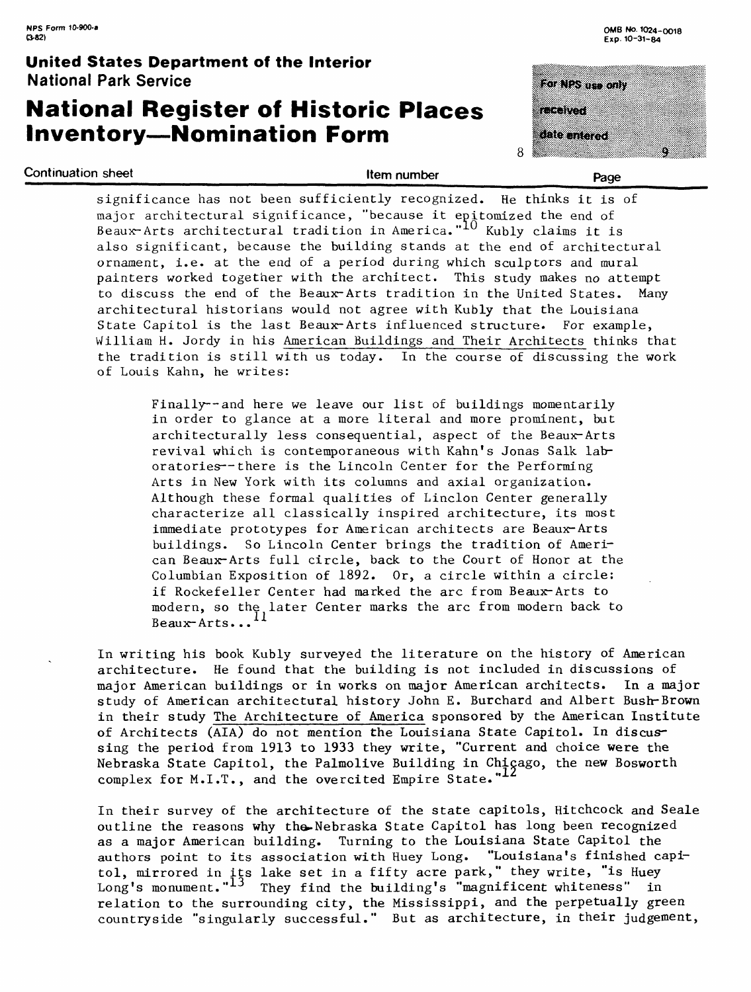# **National Register of Historic Places Inventory-Nomination Form**

Continuation sheet example and the state of the state of the state of the Page Page

|   | For NPS use only |
|---|------------------|
|   |                  |
|   | arthu 1          |
|   |                  |
|   | date entered     |
| ႙ | o                |

significance has not been sufficiently recognized. He thinks it is of major architectural significance, "because it epitomized the end of Beaux-Arts architectural tradition in America."<sup>10</sup> Kubly claims it is also significant, because the building stands at the end of architectural ornament, i.e. at the end of a period during which sculptors and mural painters worked together with the architect. This study makes no attempt to discuss the end of the Beaux-Arts tradition in the United States. Many architectural historians would not agree with Kubly that the Louisiana State Capitol is the last Beaux-Arts influenced structure. For example, William H. Jordy in his American Buildings and Their Architects thinks that the tradition is still with us today. In the course of discussing the work of Louis Kahn, he writes:

> Finally--and here we leave our list of buildings momentarily in order to glance at a more literal and more prominent, but architecturally less consequential, aspect of the Beaux-Arts revival which is contemporaneous with Kahn's Jonas Salk laboratories--there is the Lincoln Center for the Performing Arts in New York with its columns and axial organization. Although these formal qualities of Linclon Center generally characterize all classically inspired architecture, its most immediate prototypes for American architects are Beaux-Arts buildings. So Lincoln Center brings the tradition of American Beaux-Arts full circle, back to the Court of Honor at the Columbian Exposition of 1892. Or, a circle within a circle: if Rockefeller Center had marked the arc from Beaux-Arts to modern, so the later Center marks the arc from modern back to Beaux-Arts. ..

In writing his book Kubly surveyed the literature on the history of American architecture. He found that the building is not included in discussions of major American buildings or in works on major American architects. In a major study of American architectural history John E. Burchard and Albert Bush-Brown in their study The Architecture of America sponsored by the American Institute of Architects (AIA) do not mention the Louisiana State Capitol. In discussing the period from 1913 to 1933 they write, "Current and choice were the Nebraska State Capitol, the Palmolive Building in Chicago, the new Bosworth complex for M.I.T., and the overcited Empire State."<sup>1</sup>

In their survey of the architecture of the state capitols, Hitchcock and Seale outline the reasons why the Nebraska State Capitol has long been recognized as a major American building. Turning to the Louisiana State Capitol the authors point to its association with Huey Long. "Louisiana's finished capitol, mirrored in its lake set in a fifty acre park," they write, "is Huey Long's monument."<sup>13</sup> They find the building's "magnificent whiteness" in relation to the surrounding city, the Mississippi, and the perpetually green countryside "singularly successful." But as architecture, in their judgement,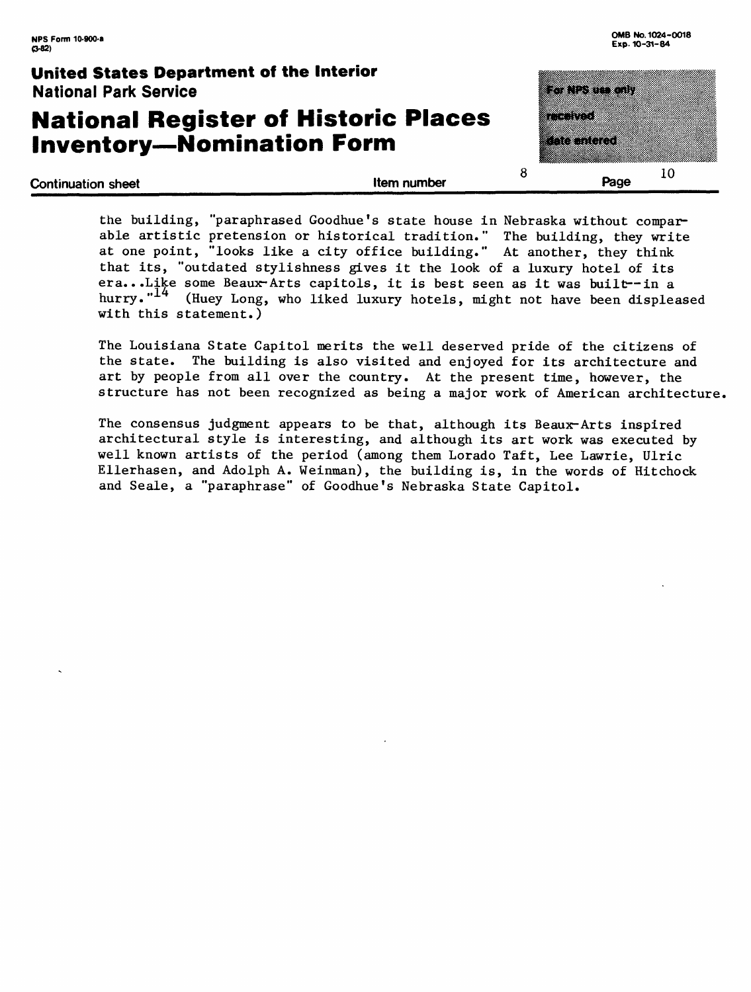# **National Register of Historic Places Inventory-Nomination Form**

eta teratorio a a component  $\mathcal{L}^{\text{max}}_{\text{max}}$  ,  $\mathcal{L}^{\text{max}}_{\text{max}}$  ,  $\mathcal{L}^{\text{max}}_{\text{max}}$ **Continuation sheet** the state of the state of the state of the state of the state of the state of the state of the state of the state of the state of the state of the state of the state of the state of the state of the st

**8** 

the building, "paraphrased Goodhue's state house in Nebraska without comparable artistic pretension or historical tradition." The building, they write at one point, "looks like a city office building." At another, they think that its, "outdated stylishness gives it the look of a luxury hotel of its era...Like some Beaux-Arts capitols, it is best seen as it was built--in a hurry."<sup>14</sup> (Huey Long, who liked luxury hotels, might not have been displeased with this statement.)

The Louisiana State Capitol merits the well deserved pride of the citizens of the state. The building is also visited and enjoyed for its architecture and art by people from all over the country. At the present time, however, the structure has not been recognized as being a major work of American architecture,

The consensus judgment appears to be that, although its Beaux-Arts inspired architectural style is interesting, and although its art work was executed by well known artists of the period (among them Lorado Taft, Lee Lawrie, Ulric Ellerhasen, and Adolph A. Weimnan), the building is, in the words of Hitchock and Seale, a "paraphrase" of Goodhue's Nebraska State Capitol.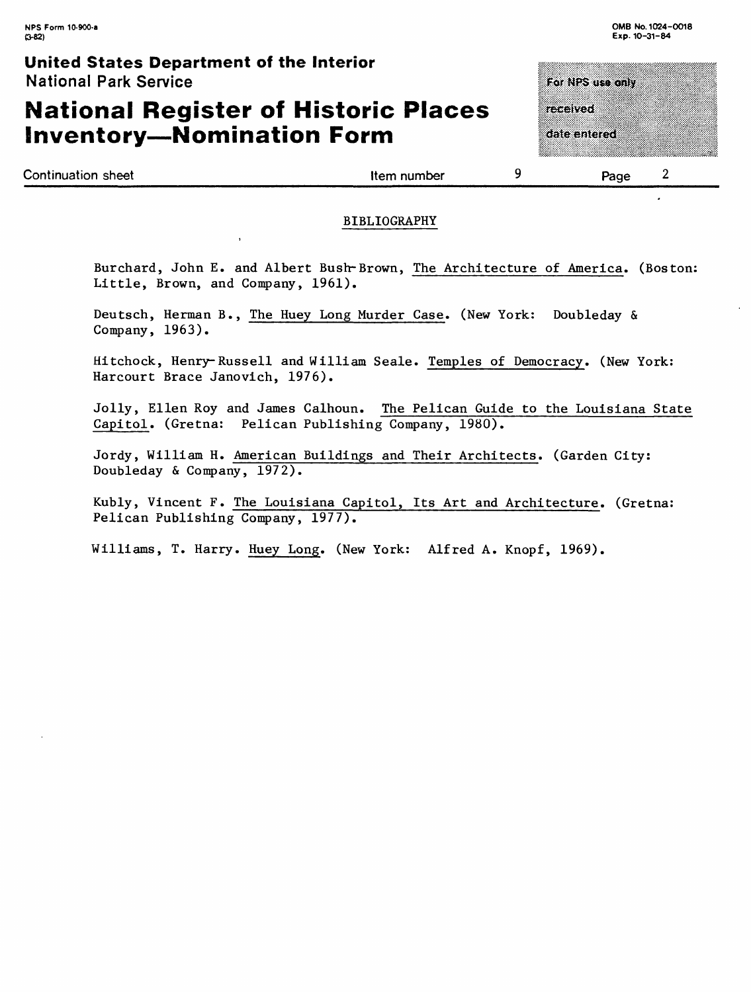# **National Register of Historic Places Inventory-Nomination Form**

For NPS use only received. date entered

Continuation sheet the continuation sheet the continuation sheet the continuation sheet the continuation sheet the continuation of  $2$ 

#### BIBLIOGRAPHY

Burchard, John E. and Albert Bush-Brown, The Architecture of America. (Boston: Little, Brown, and Company, 1961).

Deutsch, Herman B., The Huey Long Murder Case. (New York: Doubleday & Company, 1963).

Hitchock, Henry-Russell and William Scale. Temples of Democracy. (New York: Harcourt Brace Janovich, 1976).

Jolly, Ellen Roy and James Calhoun. The Pelican Guide to the Louisiana State Capitol. (Gretna: Pelican Publishing Company, 1980).

Jordy, William H. American Buildings and Their Architects. (Garden City: Doubleday & Company, 1972).

Kubly, Vincent F. The Louisiana Capitol, Its Art and Architecture. (Gretna: Pelican Publishing Company, 1977).

Williams, T. Harry. Huey Long. (New York: Alfred A. Knopf, 1969).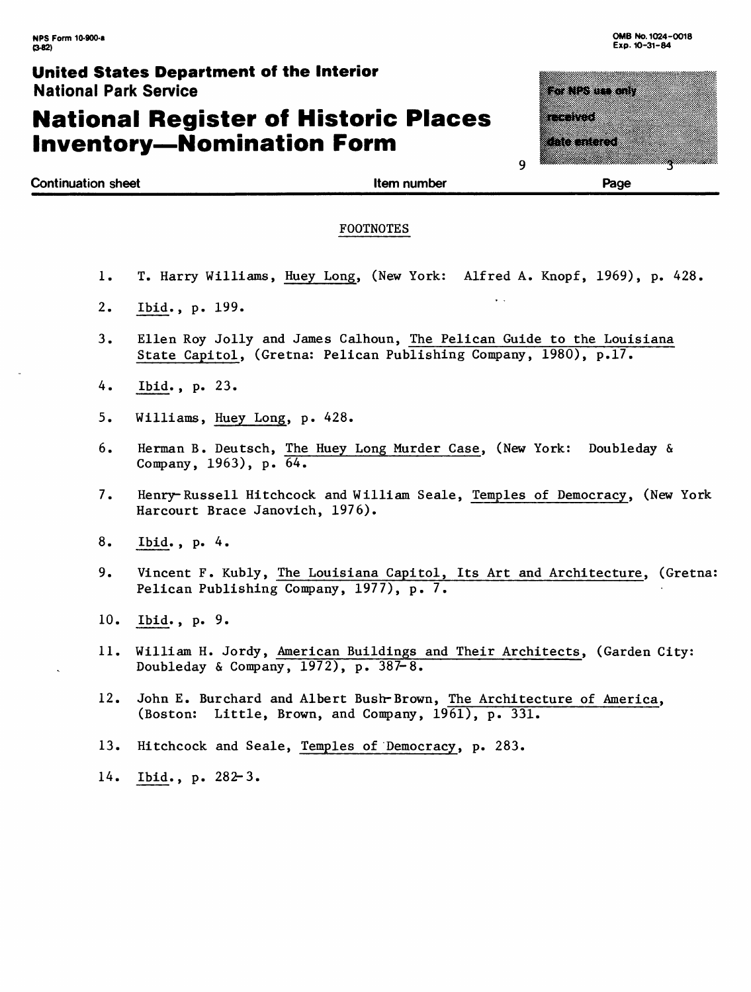# **National Register of Historic Places Inventory-Nomination Form**

| ta Nisun any |
|--------------|
|              |
|              |
|              |
| ata di J     |
|              |
|              |

**Continuation sheet Item number** 

**Page**

#### FOOTNOTES

1. T. Harry Williams, Huey Long, (New York: Alfred A. Knopf, 1969), p. 428.

 $\ddot{\phantom{a}}$ 

- 2. Ibid., p. 199.
- 3. Ellen Roy Jolly and James Calhoun, The Pelican Guide to the Louisiana State Capitol, (Gretna: Pelican Publishing Company, 1980), p.17.
- 4. Ibid., p. 23.
- 5. Williams, Huey Long, p. 428.
- 6. Herman B. Deutsch, The Huey Long Murder Case, (New York: Doubleday & Company, 1963), p. 64.
- 7. Henry-Russell Hitchcock and William Seale, Temples of Democracy, (New York Harcourt Brace Janovich, 1976).
- 8. Ibid., p. 4.
- 9. Vincent F. Kubly, The Louisiana Capitol, Its Art and Architecture, (Gretna: Pelican Publishing Company, 1977), p. 7.
- 10. Ibid., p. 9.
- 11. William H. Jordy, American Buildings and Their Architects, (Garden City: Doubleday & Company, 1972), p. 387-8.
- 12. John E. Burchard and Albert Bush-Brown, The Architecture of America, (Boston: Little, Brown, and Company, 1961), p. 331.
- 13. Hitchcock and Seale, Temples of Democracy, p. 283.
- 14. Ibid., p. 282-3.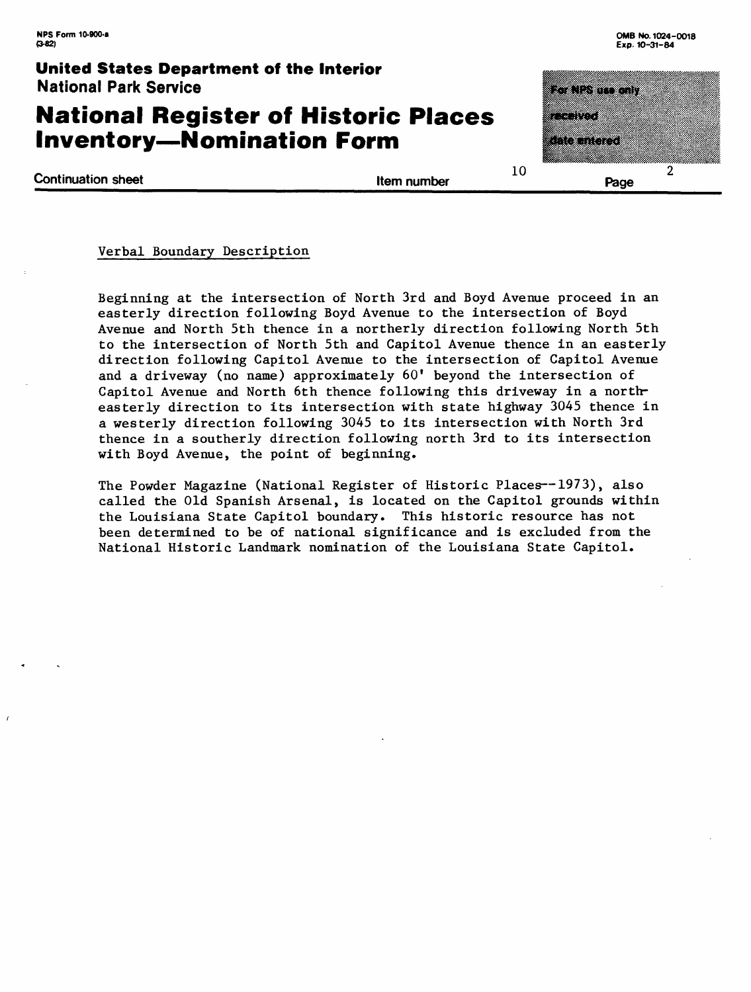### **National Register of Historic Places Inventory-Nomination Form**

<u>kontrollerin m</u> n ayan ay katalog  $\mathcal{P}$ **Page**

**Continuation sheet Item number** 

10

#### Verbal Boundary Description

Beginning at the intersection of North 3rd and Boyd Avenue proceed in an easterly direction following Boyd Avenue to the intersection of Boyd Avenue and North 5th thence in a northerly direction following North 5th to the intersection of North 5th and Capitol Avenue thence in an easterly direction following Capitol Avenue to the intersection of Capitol Avenue and a driveway (no name) approximately  $60'$  beyond the intersection of Capitol Avenue and North 6th thence following this driveway in a northeasterly direction to its intersection with state highway 3045 thence in a westerly direction following 3045 to its intersection with North 3rd thence in a southerly direction following north 3rd to its intersection with Boyd Avenue, the point of beginning.

The Powder Magazine (National Register of Historic Places--1973), also called the Old Spanish Arsenal, is located on the Capitol grounds within the Louisiana State Capitol boundary. This historic resource has not been determined to be of national significance and is excluded from the National Historic Landmark nomination of the Louisiana State Capitol.